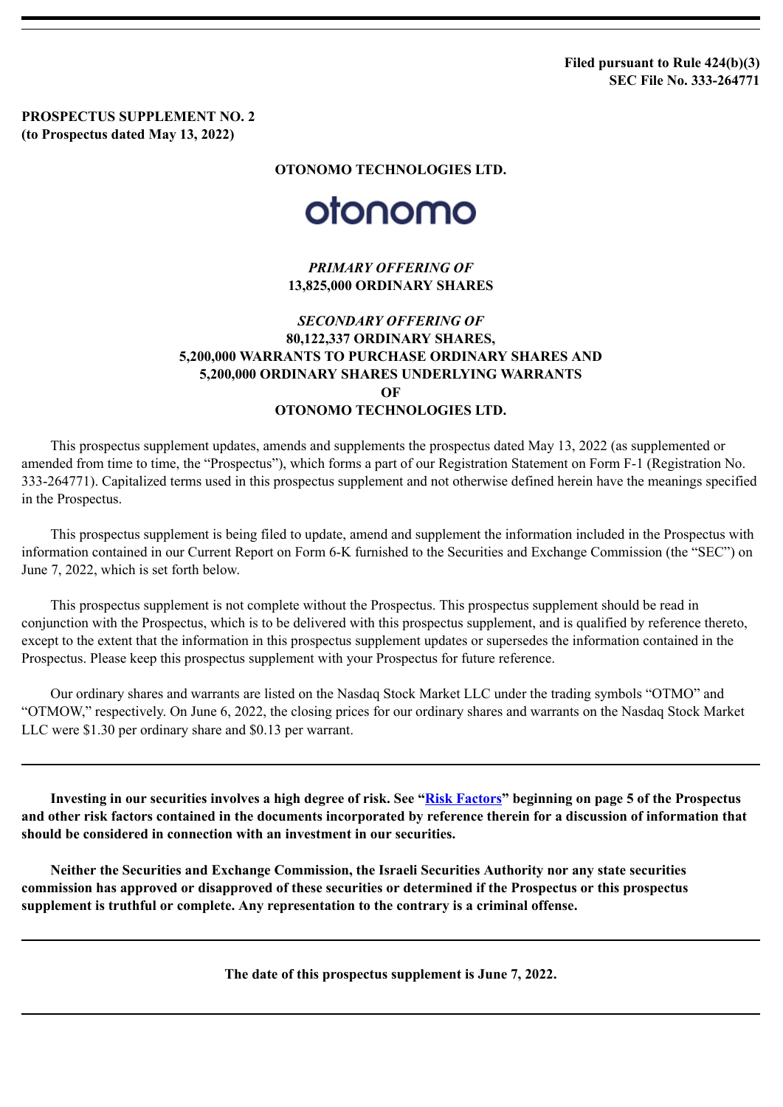**Filed pursuant to Rule 424(b)(3) SEC File No. 333-264771**

**PROSPECTUS SUPPLEMENT NO. 2 (to Prospectus dated May 13, 2022)**

## **OTONOMO TECHNOLOGIES LTD.**

## otonomo

*PRIMARY OFFERING OF* **13,825,000 ORDINARY SHARES**

## *SECONDARY OFFERING OF* **80,122,337 ORDINARY SHARES, 5,200,000 WARRANTS TO PURCHASE ORDINARY SHARES AND 5,200,000 ORDINARY SHARES UNDERLYING WARRANTS OF OTONOMO TECHNOLOGIES LTD.**

This prospectus supplement updates, amends and supplements the prospectus dated May 13, 2022 (as supplemented or amended from time to time, the "Prospectus"), which forms a part of our Registration Statement on Form F-1 (Registration No. 333-264771). Capitalized terms used in this prospectus supplement and not otherwise defined herein have the meanings specified in the Prospectus.

This prospectus supplement is being filed to update, amend and supplement the information included in the Prospectus with information contained in our Current Report on Form 6-K furnished to the Securities and Exchange Commission (the "SEC") on June 7, 2022, which is set forth below.

This prospectus supplement is not complete without the Prospectus. This prospectus supplement should be read in conjunction with the Prospectus, which is to be delivered with this prospectus supplement, and is qualified by reference thereto, except to the extent that the information in this prospectus supplement updates or supersedes the information contained in the Prospectus. Please keep this prospectus supplement with your Prospectus for future reference.

Our ordinary shares and warrants are listed on the Nasdaq Stock Market LLC under the trading symbols "OTMO" and "OTMOW," respectively. On June 6, 2022, the closing prices for our ordinary shares and warrants on the Nasdaq Stock Market LLC were \$1.30 per ordinary share and \$0.13 per warrant.

**Investing in our securities involves a high degree of risk. See "Risk [Factors"](https://www.sec.gov/Archives/edgar/data/0001842498/000117891322001954/zk2227777.htm#RISKFACTORS) beginning on page 5 of the Prospectus and other risk factors contained in the documents incorporated by reference therein for a discussion of information that should be considered in connection with an investment in our securities.**

**Neither the Securities and Exchange Commission, the Israeli Securities Authority nor any state securities commission has approved or disapproved of these securities or determined if the Prospectus or this prospectus supplement is truthful or complete. Any representation to the contrary is a criminal offense.**

**The date of this prospectus supplement is June 7, 2022.**